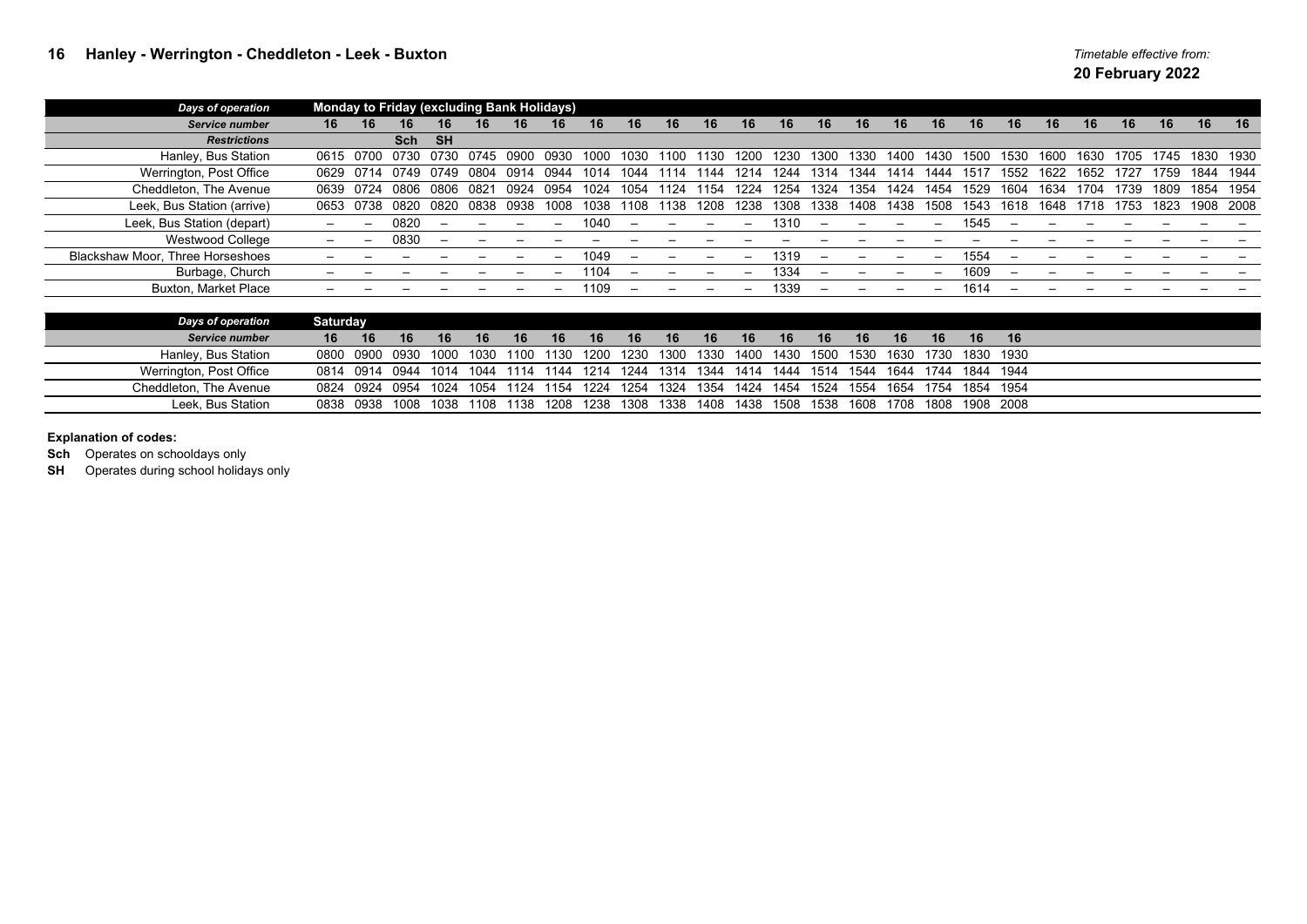| <b>Days of operation</b>         | <b>Monday to Friday (excluding Bank Holidays)</b> |           |             |           |      |      |      |      |      |      |      |      |      |      |      |      |      |      |           |      |      |      |      |      |           |
|----------------------------------|---------------------------------------------------|-----------|-------------|-----------|------|------|------|------|------|------|------|------|------|------|------|------|------|------|-----------|------|------|------|------|------|-----------|
| Service number                   | 16                                                | 16        | 16          | 16        | 16.  | 16   | 16   | 16   | 16   | 16   | 16   | 16   | 16   | 16   | 16   | 16   | 16   | 16   | 16        | 16   | 16   | 16   | 16   | 16   | 16        |
| <b>Restrictions</b>              |                                                   |           | Sch         | <b>SH</b> |      |      |      |      |      |      |      |      |      |      |      |      |      |      |           |      |      |      |      |      |           |
| Hanley, Bus Station              | 0615                                              | 0700      | 0730        | 0730      | 0745 | חחר  | 0930 | 1000 | 1030 | 1100 |      | 1200 | 1230 | 1300 | 1330 | 1400 | 1430 | 1500 | 1530      | 1600 | 1630 | 1705 | 1745 |      | 1830 1930 |
| Werrington, Post Office          | 0629                                              | 0714      | 0749        | 0749      | 0804 | 0914 |      | 1014 | 1044 |      | 44   | 1214 | 244  | 1314 | 344  |      |      | 151  | 1552.     | 1622 | 1652 |      | 1759 | 1844 | 1944      |
| Cheddleton, The Avenue           | 0639                                              | 0724      | <b>0806</b> | 0806      | 0821 | 0924 | 0954 | 1024 | 1054 | 124  | 154  | 224  | 254  | 1324 | 354  | 424  | 1454 | 1529 |           | 1634 | 704  | 739  | 1809 | 1854 | 1954      |
| Leek, Bus Station (arrive)       | 0653                                              | 0738      | 0820        | 0820      | 0838 | 0938 | 1008 | 1038 | 108  | 1138 | 1208 | 1238 | 1308 | 1338 | 1408 | 1438 | 1508 | 1543 | 1618      | 1648 | 1718 | 1753 | 1823 |      | 1908 2008 |
| Leek, Bus Station (depart)       |                                                   |           | 0820        |           |      |      |      | 1040 |      |      |      |      | 1310 |      |      |      |      | 1545 |           |      |      |      |      |      |           |
| Westwood College                 |                                                   |           | 0830        |           |      |      |      |      |      |      |      |      |      |      |      |      |      |      |           |      |      |      |      |      |           |
| Blackshaw Moor, Three Horseshoes |                                                   |           |             |           |      |      |      | 1049 |      |      |      |      | 1319 |      |      |      |      | 1554 |           |      |      |      |      |      |           |
| Burbage, Church                  |                                                   |           |             |           |      |      |      | 1104 |      |      |      |      | 1334 |      |      |      |      | 1609 |           |      |      |      |      |      |           |
| <b>Buxton, Market Place</b>      |                                                   |           |             |           |      |      |      | 1109 |      |      |      |      | 1339 |      |      |      |      | 1614 |           |      |      |      |      |      |           |
|                                  |                                                   |           |             |           |      |      |      |      |      |      |      |      |      |      |      |      |      |      |           |      |      |      |      |      |           |
| <b>Days of operation</b>         | <b>Saturday</b>                                   |           |             |           |      |      |      |      |      |      |      |      |      |      |      |      |      |      |           |      |      |      |      |      |           |
| Service number                   | 16                                                | 16        | 16          | 16.       | 16.  | 16   | 16.  | 16.  | 16   | 16.  | 16.  | 16   | 16   | 16   | 16   | 16   | 16   | 16   | 16        |      |      |      |      |      |           |
| Hanley, Bus Station              | 0800                                              | 0900      | <b>0930</b> | noo       | 1030 | 100  | E30  | インロ  | 230  | 300  | 1330 | 1400 | 430  | 1500 | 1530 | 1630 | 1730 | 1830 | 1930      |      |      |      |      |      |           |
| Werrington, Post Office          |                                                   | 0814 0914 | 0944        | 1014      | 1044 | 1114 | 144  | 1214 | 1244 | 1314 | 1344 | 1414 | 1444 | 1514 | 1544 | 1644 | 1744 |      | 1844 1944 |      |      |      |      |      |           |

Cheddleton, The Avenue 0824 0924 0954 1024 1054 1124 1154 1224 1254 1324 1354 1424 1454 1524 1554 1654 1754 1854 1954 Leek, Bus Station 0838 0938 1008 1038 1108 1138 1208 1238 1308 1338 1408 1438 1508 1538 1608 1708 1808 1908 2008

## **Explanation of codes:**

**Sch** Operates on schooldays only

**SH** Operates during school holidays only